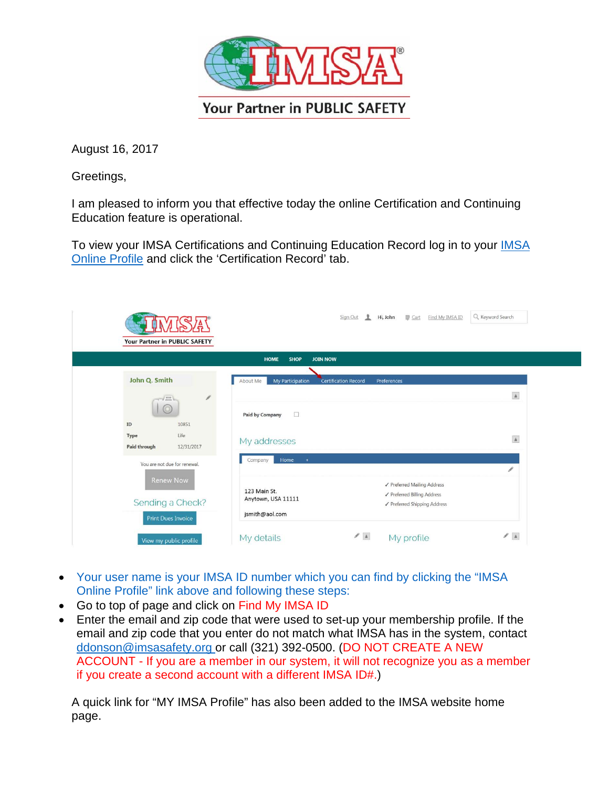

August 16, 2017

Greetings,

I am pleased to inform you that effective today the online Certification and Continuing Education feature is operational.

To view your [IMSA](https://access.imsasafety.org/iCore/Contacts/Sign_In.aspx?WebsiteKey=0243c771-b222-458c-ad70-1a1ccd3c7be0&LoginRedirect=true&returnurl=%2f) Certifications and Continuing Education Record log in to your *IMSA* [Online Profile](https://access.imsasafety.org/iCore/Contacts/Sign_In.aspx?WebsiteKey=0243c771-b222-458c-ad70-1a1ccd3c7be0&LoginRedirect=true&returnurl=%2f) and click the 'Certification Record' tab.

| 5/A (<br>Your Partner in PUBLIC SAFETY        |                                                             | $\mathbf{r}$<br>■ Cart<br>Sign Out<br>Hi, John<br>Find My IMSA ID | Q Keyword Search |
|-----------------------------------------------|-------------------------------------------------------------|-------------------------------------------------------------------|------------------|
| <b>HOME</b><br><b>SHOP</b><br><b>JOIN NOW</b> |                                                             |                                                                   |                  |
| John Q. Smith                                 | About Me<br>My Participation<br><b>Certification Record</b> | Preferences                                                       |                  |
| b<br>$1 - 1$                                  |                                                             |                                                                   | $\Delta$         |
| 0<br>10851<br>$\mathbf{ID}$                   | $\Box$<br><b>Paid by Company</b>                            |                                                                   |                  |
| Life<br>Type<br>Paid through<br>12/31/2017    | My addresses                                                |                                                                   | $\mathbf{A}$     |
| You are not due for renewal.                  | Home<br>$\ddot{}$<br>Company                                |                                                                   | ℐ                |
| <b>Renew Now</b>                              | 123 Main St.                                                | √ Preferred Mailing Address<br>√ Preferred Billing Address        |                  |
| Sending a Check?                              | Anytown, USA 11111                                          | ✔ Preferred Shipping Address                                      |                  |
| <b>Print Dues Invoice</b>                     | jsmith@aol.com                                              |                                                                   |                  |
| View my public profile                        | My details                                                  | $\mathcal{S}$ . A<br>My profile                                   | $\mathbb{Z}$ . A |

- Your user name is your IMSA ID number which you can find by clicking the "IMSA" Online Profile" link above and following these steps:
- Go to top of page and click on Find My IMSA ID
- Enter the email and zip code that were used to set-up your membership profile. If the email and zip code that you enter do not match what IMSA has in the system, contac[t](mailto:ddonson@imsasafety.org) [ddonson@imsasafety.org o](mailto:ddonson@imsasafety.org)r call (321) 392-0500. (DO NOT CREATE A NEW ACCOUNT - If you are a member in our system, it will not recognize you as a member if you create a second account with a different IMSA ID#.)

A quick link for "MY IMSA Profile" has also been added to the IMSA website home page.